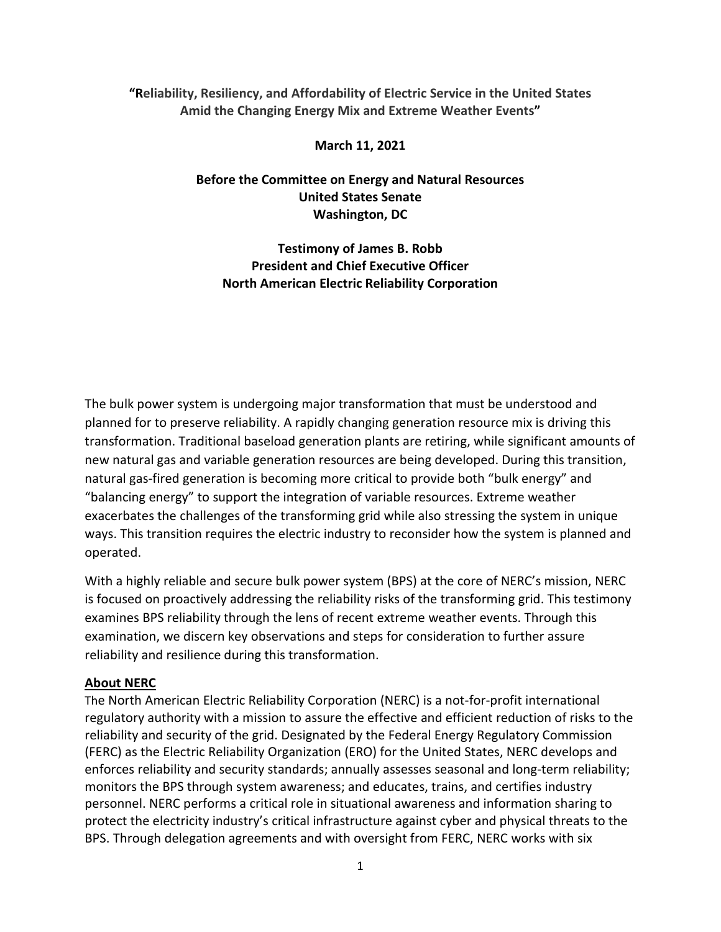### **"Reliability, Resiliency, and Affordability of Electric Service in the United States Amid the Changing Energy Mix and Extreme Weather Events"**

#### **March 11, 2021**

## **Before the Committee on Energy and Natural Resources United States Senate Washington, DC**

**Testimony of James B. Robb President and Chief Executive Officer North American Electric Reliability Corporation**

The bulk power system is undergoing major transformation that must be understood and planned for to preserve reliability. A rapidly changing generation resource mix is driving this transformation. Traditional baseload generation plants are retiring, while significant amounts of new natural gas and variable generation resources are being developed. During this transition, natural gas-fired generation is becoming more critical to provide both "bulk energy" and "balancing energy" to support the integration of variable resources. Extreme weather exacerbates the challenges of the transforming grid while also stressing the system in unique ways. This transition requires the electric industry to reconsider how the system is planned and operated.

With a highly reliable and secure bulk power system (BPS) at the core of NERC's mission, NERC is focused on proactively addressing the reliability risks of the transforming grid. This testimony examines BPS reliability through the lens of recent extreme weather events. Through this examination, we discern key observations and steps for consideration to further assure reliability and resilience during this transformation.

#### **About NERC**

The North American Electric Reliability Corporation (NERC) is a not-for-profit international regulatory authority with a mission to assure the effective and efficient reduction of risks to the reliability and security of the grid. Designated by the Federal Energy Regulatory Commission (FERC) as the Electric Reliability Organization (ERO) for the United States, NERC develops and enforces reliability and security standards; annually assesses seasonal and long-term reliability; monitors the BPS through system awareness; and educates, trains, and certifies industry personnel. NERC performs a critical role in situational awareness and information sharing to protect the electricity industry's critical infrastructure against cyber and physical threats to the BPS. Through delegation agreements and with oversight from FERC, NERC works with six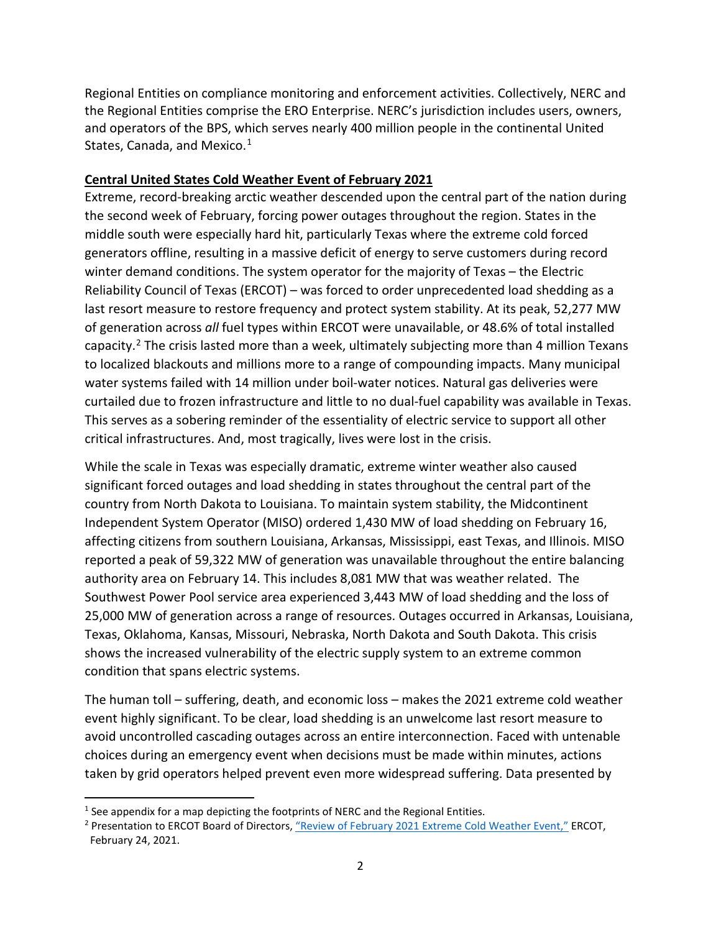Regional Entities on compliance monitoring and enforcement activities. Collectively, NERC and the Regional Entities comprise the ERO Enterprise. NERC's jurisdiction includes users, owners, and operators of the BPS, which serves nearly 400 million people in the continental United States, Canada, and Mexico.<sup>[1](#page-1-0)</sup>

### **Central United States Cold Weather Event of February 2021**

Extreme, record-breaking arctic weather descended upon the central part of the nation during the second week of February, forcing power outages throughout the region. States in the middle south were especially hard hit, particularly Texas where the extreme cold forced generators offline, resulting in a massive deficit of energy to serve customers during record winter demand conditions. The system operator for the majority of Texas – the Electric Reliability Council of Texas (ERCOT) – was forced to order unprecedented load shedding as a last resort measure to restore frequency and protect system stability. At its peak, 52,277 MW of generation across *all* fuel types within ERCOT were unavailable, or 48.6% of total installed capacity.<sup>[2](#page-1-1)</sup> The crisis lasted more than a week, ultimately subjecting more than 4 million Texans to localized blackouts and millions more to a range of compounding impacts. Many municipal water systems failed with 14 million under boil-water notices. Natural gas deliveries were curtailed due to frozen infrastructure and little to no dual-fuel capability was available in Texas. This serves as a sobering reminder of the essentiality of electric service to support all other critical infrastructures. And, most tragically, lives were lost in the crisis.

While the scale in Texas was especially dramatic, extreme winter weather also caused significant forced outages and load shedding in states throughout the central part of the country from North Dakota to Louisiana. To maintain system stability, the Midcontinent Independent System Operator (MISO) ordered 1,430 MW of load shedding on February 16, affecting citizens from southern Louisiana, Arkansas, Mississippi, east Texas, and Illinois. MISO reported a peak of 59,322 MW of generation was unavailable throughout the entire balancing authority area on February 14. This includes 8,081 MW that was weather related. The Southwest Power Pool service area experienced 3,443 MW of load shedding and the loss of 25,000 MW of generation across a range of resources. Outages occurred in Arkansas, Louisiana, Texas, Oklahoma, Kansas, Missouri, Nebraska, North Dakota and South Dakota. This crisis shows the increased vulnerability of the electric supply system to an extreme common condition that spans electric systems.

The human toll – suffering, death, and economic loss – makes the 2021 extreme cold weather event highly significant. To be clear, load shedding is an unwelcome last resort measure to avoid uncontrolled cascading outages across an entire interconnection. Faced with untenable choices during an emergency event when decisions must be made within minutes, actions taken by grid operators helped prevent even more widespread suffering. Data presented by

<span id="page-1-0"></span> $1$  See appendix for a map depicting the footprints of NERC and the Regional Entities.

<span id="page-1-1"></span><sup>&</sup>lt;sup>2</sup> Presentation to ERCOT Board of Directors, ["Review of February 2021 Extreme Cold Weather Event,"](http://www.ercot.com/content/wcm/key_documents_lists/225373/2.2_REVISED_ERCOT_Presentation.pdf) ERCOT, February 24, 2021.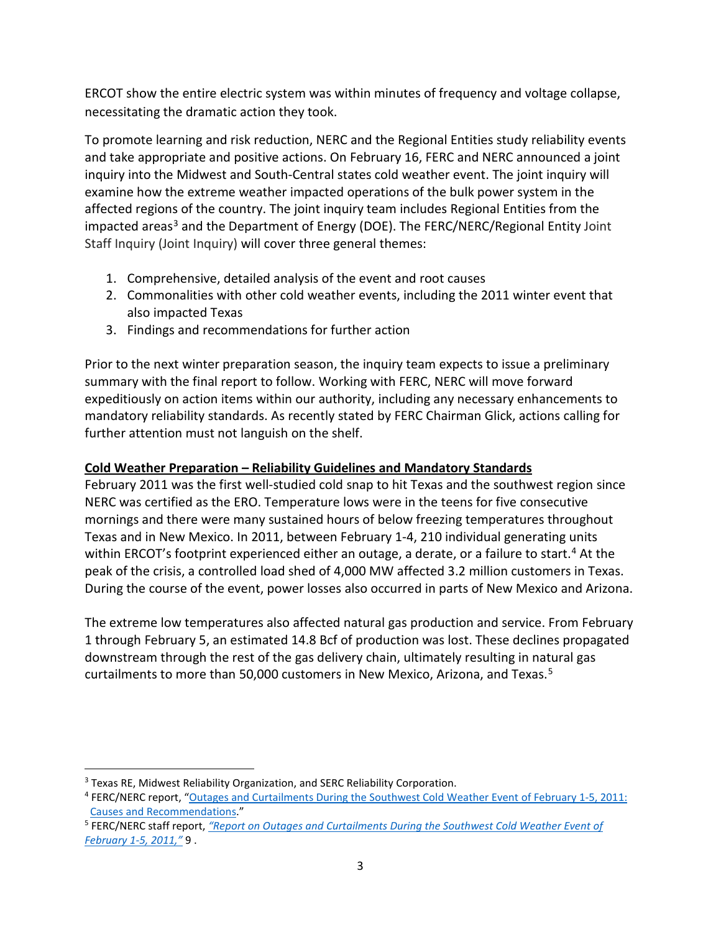ERCOT show the entire electric system was within minutes of frequency and voltage collapse, necessitating the dramatic action they took.

To promote learning and risk reduction, NERC and the Regional Entities study reliability events and take appropriate and positive actions. On February 16, FERC and NERC announced a joint inquiry into the Midwest and South-Central states cold weather event. The joint inquiry will examine how the extreme weather impacted operations of the bulk power system in the affected regions of the country. The joint inquiry team includes Regional Entities from the impacted areas<sup>[3](#page-2-0)</sup> and the Department of Energy (DOE). The FERC/NERC/Regional Entity Joint Staff Inquiry (Joint Inquiry) will cover three general themes:

- 1. Comprehensive, detailed analysis of the event and root causes
- 2. Commonalities with other cold weather events, including the 2011 winter event that also impacted Texas
- 3. Findings and recommendations for further action

Prior to the next winter preparation season, the inquiry team expects to issue a preliminary summary with the final report to follow. Working with FERC, NERC will move forward expeditiously on action items within our authority, including any necessary enhancements to mandatory reliability standards. As recently stated by FERC Chairman Glick, actions calling for further attention must not languish on the shelf.

## **Cold Weather Preparation – Reliability Guidelines and Mandatory Standards**

February 2011 was the first well-studied cold snap to hit Texas and the southwest region since NERC was certified as the ERO. Temperature lows were in the teens for five consecutive mornings and there were many sustained hours of below freezing temperatures throughout Texas and in New Mexico. In 2011, between February 1-4, 210 individual generating units within ERCOT's footprint experienced either an outage, a derate, or a failure to start.<sup>[4](#page-2-1)</sup> At the peak of the crisis, a controlled load shed of 4,000 MW affected 3.2 million customers in Texas. During the course of the event, power losses also occurred in parts of New Mexico and Arizona.

The extreme low temperatures also affected natural gas production and service. From February 1 through February 5, an estimated 14.8 Bcf of production was lost. These declines propagated downstream through the rest of the gas delivery chain, ultimately resulting in natural gas curtailments to more than [5](#page-2-2)0,000 customers in New Mexico, Arizona, and Texas.<sup>5</sup>

<span id="page-2-0"></span><sup>&</sup>lt;sup>3</sup> Texas RE, Midwest Reliability Organization, and SERC Reliability Corporation.

<span id="page-2-1"></span><sup>4</sup> FERC/NERC report, ["Outages and Curtailments During the Southwest Cold Weather Event of February 1-5, 2011:](https://www.nerc.com/pa/rrm/ea/February%202011%20Southwest%20Cold%20Weather%20Event/SW_Cold_Weather_Event_Final.pdf#search=Outages%20and%20Curtailments%20During%20the%20Southwest%20Cold%20Weather%20Event)  [Causes and Recommendations.](https://www.nerc.com/pa/rrm/ea/February%202011%20Southwest%20Cold%20Weather%20Event/SW_Cold_Weather_Event_Final.pdf#search=Outages%20and%20Curtailments%20During%20the%20Southwest%20Cold%20Weather%20Event)"

<span id="page-2-2"></span><sup>5</sup> FERC/NERC staff report, *["Report on Outages and Curtailments During the Southwest Cold Weather Event of](https://www.nerc.com/pa/rrm/ea/February%202011%20Southwest%20Cold%20Weather%20Event/SW_Cold_Weather_Event_Final.pdf)  [February 1-5, 2011,"](https://www.nerc.com/pa/rrm/ea/February%202011%20Southwest%20Cold%20Weather%20Event/SW_Cold_Weather_Event_Final.pdf)* 9 .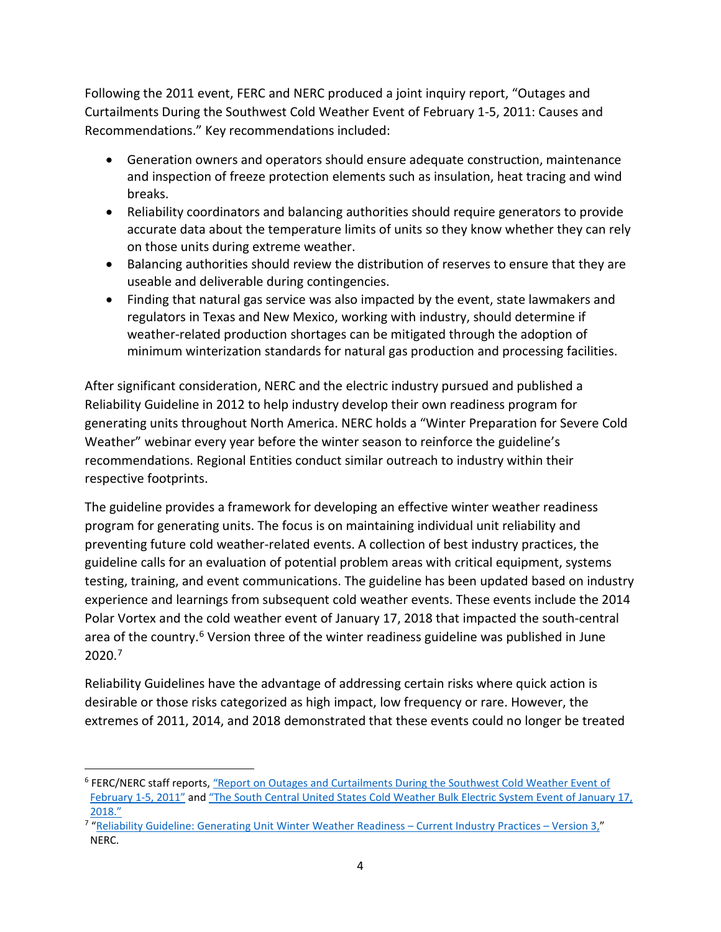Following the 2011 event, FERC and NERC produced a joint inquiry report, "Outages and Curtailments During the Southwest Cold Weather Event of February 1-5, 2011: Causes and Recommendations." Key recommendations included:

- Generation owners and operators should ensure adequate construction, maintenance and inspection of freeze protection elements such as insulation, heat tracing and wind breaks.
- Reliability coordinators and balancing authorities should require generators to provide accurate data about the temperature limits of units so they know whether they can rely on those units during extreme weather.
- Balancing authorities should review the distribution of reserves to ensure that they are useable and deliverable during contingencies.
- Finding that natural gas service was also impacted by the event, state lawmakers and regulators in Texas and New Mexico, working with industry, should determine if weather-related production shortages can be mitigated through the adoption of minimum winterization standards for natural gas production and processing facilities.

After significant consideration, NERC and the electric industry pursued and published a Reliability Guideline in 2012 to help industry develop their own readiness program for generating units throughout North America. NERC holds a "Winter Preparation for Severe Cold Weather" webinar every year before the winter season to reinforce the guideline's recommendations. Regional Entities conduct similar outreach to industry within their respective footprints.

The guideline provides a framework for developing an effective winter weather readiness program for generating units. The focus is on maintaining individual unit reliability and preventing future cold weather-related events. A collection of best industry practices, the guideline calls for an evaluation of potential problem areas with critical equipment, systems testing, training, and event communications. The guideline has been updated based on industry experience and learnings from subsequent cold weather events. These events include the 2014 Polar Vortex and the cold weather event of January 17, 2018 that impacted the south-central area of the country.<sup>[6](#page-3-0)</sup> Version three of the winter readiness guideline was published in June 2020.[7](#page-3-1)

Reliability Guidelines have the advantage of addressing certain risks where quick action is desirable or those risks categorized as high impact, low frequency or rare. However, the extremes of 2011, 2014, and 2018 demonstrated that these events could no longer be treated

<span id="page-3-0"></span> <sup>6</sup> FERC/NERC staff reports, ["Report on Outages and Curtailments During the Southwest Cold Weather Event of](https://www.nerc.com/pa/rrm/ea/February%202011%20Southwest%20Cold%20Weather%20Event/SW_Cold_Weather_Event_Final.pdf)  [February 1-5, 2011"](https://www.nerc.com/pa/rrm/ea/February%202011%20Southwest%20Cold%20Weather%20Event/SW_Cold_Weather_Event_Final.pdf) an[d "The South Central United States Cold Weather Bulk Electric System Event of January 17,](https://www.nerc.com/pa/rrm/ea/Documents/South_Central_Cold_Weather_Event_FERC-NERC-Report_20190718.pdf)  [2018."](https://www.nerc.com/pa/rrm/ea/Documents/South_Central_Cold_Weather_Event_FERC-NERC-Report_20190718.pdf)

<span id="page-3-1"></span><sup>7</sup> ["Reliability Guideline: Generating Unit Winter Weather Readiness –](https://www.nerc.com/comm/OC_Reliability_Guidelines_DL/Reliability_Guideline_Generating_Unit_Winter_Weather_Readiness_v3_Final.pdf) Current Industry Practices – Version 3," NERC.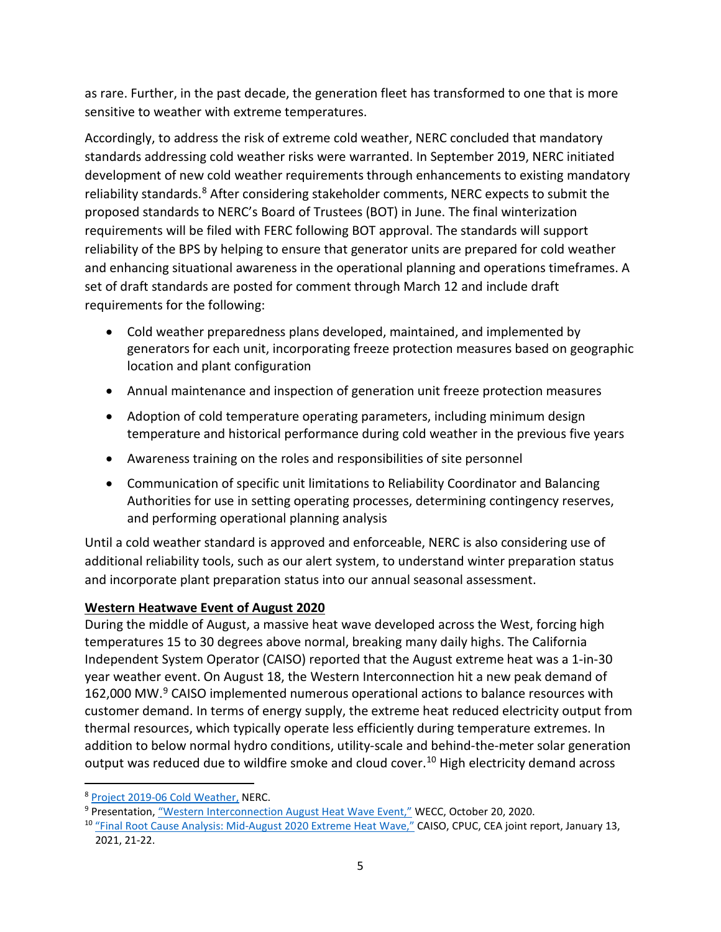as rare. Further, in the past decade, the generation fleet has transformed to one that is more sensitive to weather with extreme temperatures.

Accordingly, to address the risk of extreme cold weather, NERC concluded that mandatory standards addressing cold weather risks were warranted. In September 2019, NERC initiated development of new cold weather requirements through enhancements to existing mandatory reliability standards.<sup>[8](#page-4-0)</sup> After considering stakeholder comments, NERC expects to submit the proposed standards to NERC's Board of Trustees (BOT) in June. The final winterization requirements will be filed with FERC following BOT approval. The standards will support reliability of the BPS by helping to ensure that generator units are prepared for cold weather and enhancing situational awareness in the operational planning and operations timeframes. A set of draft standards are posted for comment through March 12 and include draft requirements for the following:

- Cold weather preparedness plans developed, maintained, and implemented by generators for each unit, incorporating freeze protection measures based on geographic location and plant configuration
- Annual maintenance and inspection of generation unit freeze protection measures
- Adoption of cold temperature operating parameters, including minimum design temperature and historical performance during cold weather in the previous five years
- Awareness training on the roles and responsibilities of site personnel
- Communication of specific unit limitations to Reliability Coordinator and Balancing Authorities for use in setting operating processes, determining contingency reserves, and performing operational planning analysis

Until a cold weather standard is approved and enforceable, NERC is also considering use of additional reliability tools, such as our alert system, to understand winter preparation status and incorporate plant preparation status into our annual seasonal assessment.

## **Western Heatwave Event of August 2020**

During the middle of August, a massive heat wave developed across the West, forcing high temperatures 15 to 30 degrees above normal, breaking many daily highs. The California Independent System Operator (CAISO) reported that the August extreme heat was a 1-in-30 year weather event. On August 18, the Western Interconnection hit a new peak demand of 162,000 MW.[9](#page-4-1) CAISO implemented numerous operational actions to balance resources with customer demand. In terms of energy supply, the extreme heat reduced electricity output from thermal resources, which typically operate less efficiently during temperature extremes. In addition to below normal hydro conditions, utility-scale and behind-the-meter solar generation output was reduced due to wildfire smoke and cloud cover.<sup>10</sup> High electricity demand across

<span id="page-4-0"></span> <sup>8</sup> [Project 2019-06 Cold Weather,](https://www.nerc.com/pa/Stand/Pages/Project%202019-06%20Cold%20Weather.aspx) NERC.

<span id="page-4-1"></span><sup>9</sup> Presentation, ["Western Interconnection August Heat Wave Event,"](https://www.wecc.org/Administrative/Western%20Heatwave-WEB.pdf) WECC, October 20, 2020.

<span id="page-4-2"></span><sup>&</sup>lt;sup>10</sup> ["Final Root Cause Analysis: Mid-August 2020 Extreme Heat Wave,"](http://www.caiso.com/Documents/Final-Root-Cause-Analysis-Mid-August-2020-Extreme-Heat-Wave.pdf) CAISO, CPUC, CEA joint report, January 13, 2021, 21-22.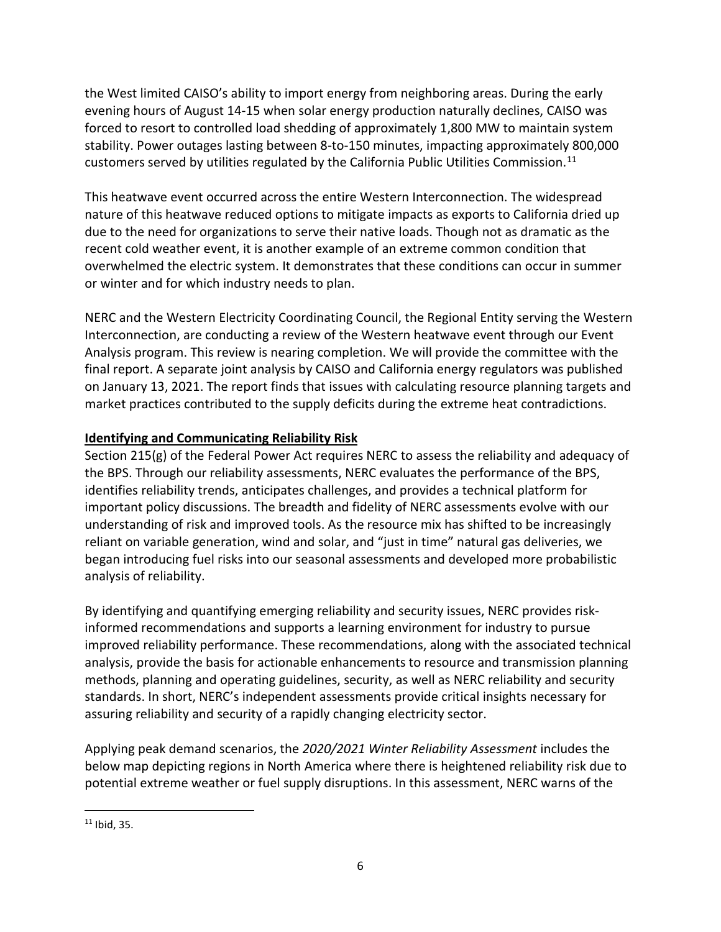the West limited CAISO's ability to import energy from neighboring areas. During the early evening hours of August 14-15 when solar energy production naturally declines, CAISO was forced to resort to controlled load shedding of approximately 1,800 MW to maintain system stability. Power outages lasting between 8-to-150 minutes, impacting approximately 800,000 customers served by utilities regulated by the California Public Utilities Commission.<sup>[11](#page-5-0)</sup>

This heatwave event occurred across the entire Western Interconnection. The widespread nature of this heatwave reduced options to mitigate impacts as exports to California dried up due to the need for organizations to serve their native loads. Though not as dramatic as the recent cold weather event, it is another example of an extreme common condition that overwhelmed the electric system. It demonstrates that these conditions can occur in summer or winter and for which industry needs to plan.

NERC and the Western Electricity Coordinating Council, the Regional Entity serving the Western Interconnection, are conducting a review of the Western heatwave event through our Event Analysis program. This review is nearing completion. We will provide the committee with the final report. A separate joint analysis by CAISO and California energy regulators was published on January 13, 2021. The report finds that issues with calculating resource planning targets and market practices contributed to the supply deficits during the extreme heat contradictions.

## **Identifying and Communicating Reliability Risk**

Section 215(g) of the Federal Power Act requires NERC to assess the reliability and adequacy of the BPS. Through our reliability assessments, NERC evaluates the performance of the BPS, identifies reliability trends, anticipates challenges, and provides a technical platform for important policy discussions. The breadth and fidelity of NERC assessments evolve with our understanding of risk and improved tools. As the resource mix has shifted to be increasingly reliant on variable generation, wind and solar, and "just in time" natural gas deliveries, we began introducing fuel risks into our seasonal assessments and developed more probabilistic analysis of reliability.

By identifying and quantifying emerging reliability and security issues, NERC provides riskinformed recommendations and supports a learning environment for industry to pursue improved reliability performance. These recommendations, along with the associated technical analysis, provide the basis for actionable enhancements to resource and transmission planning methods, planning and operating guidelines, security, as well as NERC reliability and security standards. In short, NERC's independent assessments provide critical insights necessary for assuring reliability and security of a rapidly changing electricity sector.

Applying peak demand scenarios, the *2020/2021 Winter Reliability Assessment* includes the below map depicting regions in North America where there is heightened reliability risk due to potential extreme weather or fuel supply disruptions. In this assessment, NERC warns of the

<span id="page-5-0"></span> $11$  Ibid, 35.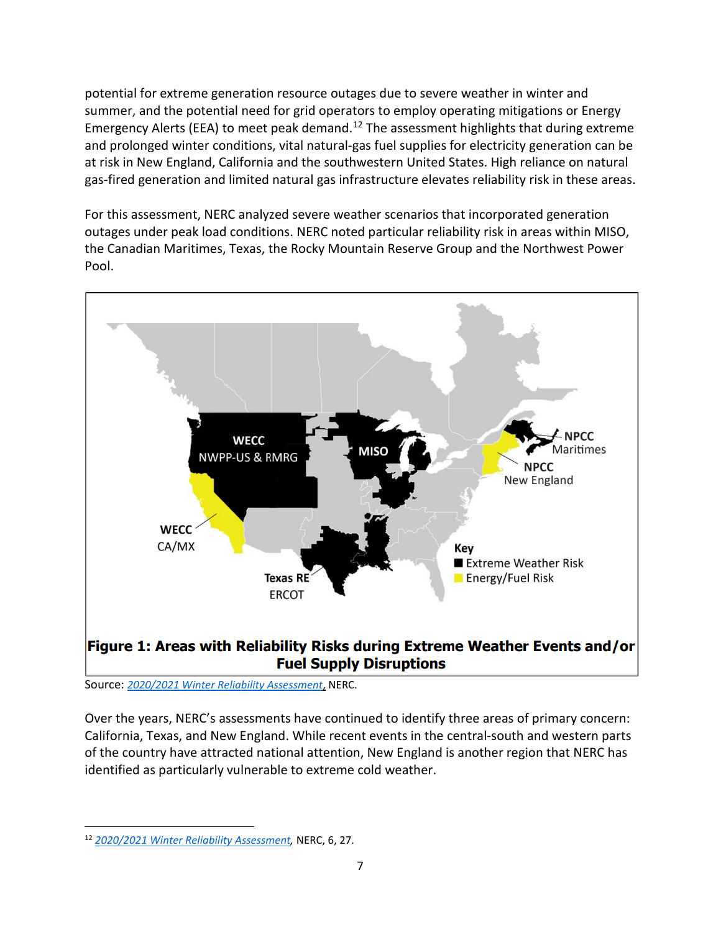potential for extreme generation resource outages due to severe weather in winter and summer, and the potential need for grid operators to employ operating mitigations or Energy Emergency Alerts (EEA) to meet peak demand.<sup>[12](#page-6-0)</sup> The assessment highlights that during extreme and prolonged winter conditions, vital natural-gas fuel supplies for electricity generation can be at risk in New England, California and the southwestern United States. High reliance on natural gas-fired generation and limited natural gas infrastructure elevates reliability risk in these areas.

For this assessment, NERC analyzed severe weather scenarios that incorporated generation outages under peak load conditions. NERC noted particular reliability risk in areas within MISO, the Canadian Maritimes, Texas, the Rocky Mountain Reserve Group and the Northwest Power Pool.



Source: *[2020/2021 Winter Reliability Assessment](https://www.nerc.com/pa/RAPA/ra/Reliability%20Assessments%20DL/NERC_WRA_2020_2021.pdf)*, NERC.

Over the years, NERC's assessments have continued to identify three areas of primary concern: California, Texas, and New England. While recent events in the central-south and western parts of the country have attracted national attention, New England is another region that NERC has identified as particularly vulnerable to extreme cold weather.

<span id="page-6-0"></span> <sup>12</sup> *[2020/2021 Winter Reliability Assessment,](https://www.nerc.com/pa/RAPA/ra/Reliability%20Assessments%20DL/NERC_WRA_2020_2021.pdf)* NERC, 6, 27.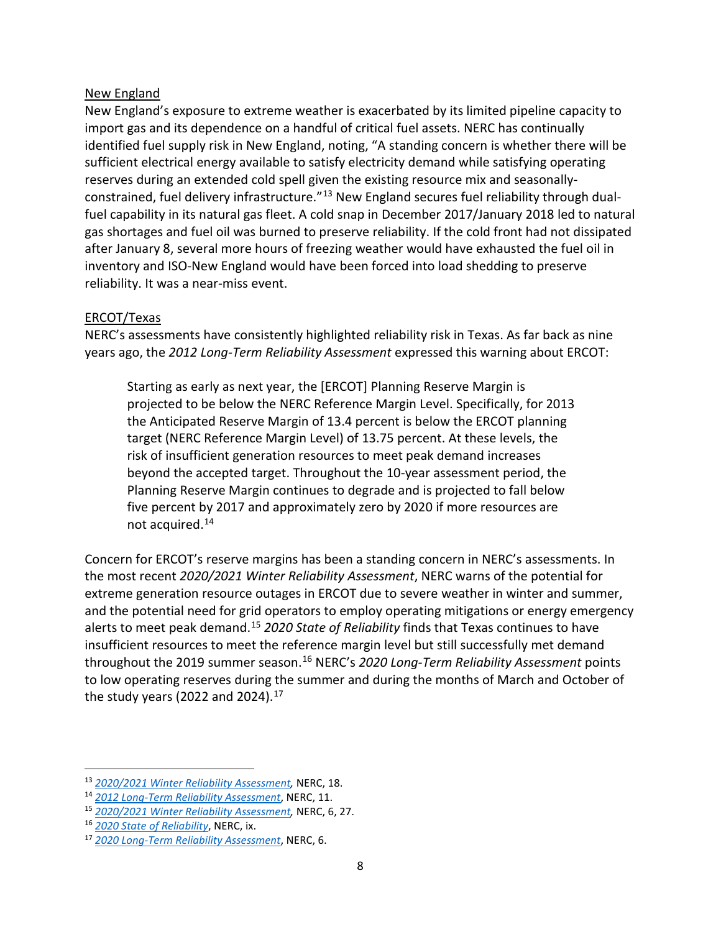#### New England

New England's exposure to extreme weather is exacerbated by its limited pipeline capacity to import gas and its dependence on a handful of critical fuel assets. NERC has continually identified fuel supply risk in New England, noting, "A standing concern is whether there will be sufficient electrical energy available to satisfy electricity demand while satisfying operating reserves during an extended cold spell given the existing resource mix and seasonally-constrained, fuel delivery infrastructure."<sup>[13](#page-7-0)</sup> New England secures fuel reliability through dualfuel capability in its natural gas fleet. A cold snap in December 2017/January 2018 led to natural gas shortages and fuel oil was burned to preserve reliability. If the cold front had not dissipated after January 8, several more hours of freezing weather would have exhausted the fuel oil in inventory and ISO-New England would have been forced into load shedding to preserve reliability. It was a near-miss event.

### ERCOT/Texas

NERC's assessments have consistently highlighted reliability risk in Texas. As far back as nine years ago, the *2012 Long-Term Reliability Assessment* expressed this warning about ERCOT:

Starting as early as next year, the [ERCOT] Planning Reserve Margin is projected to be below the NERC Reference Margin Level. Specifically, for 2013 the Anticipated Reserve Margin of 13.4 percent is below the ERCOT planning target (NERC Reference Margin Level) of 13.75 percent. At these levels, the risk of insufficient generation resources to meet peak demand increases beyond the accepted target. Throughout the 10-year assessment period, the Planning Reserve Margin continues to degrade and is projected to fall below five percent by 2017 and approximately zero by 2020 if more resources are not acquired.[14](#page-7-1)

Concern for ERCOT's reserve margins has been a standing concern in NERC's assessments. In the most recent *2020/2021 Winter Reliability Assessment*, NERC warns of the potential for extreme generation resource outages in ERCOT due to severe weather in winter and summer, and the potential need for grid operators to employ operating mitigations or energy emergency alerts to meet peak demand[.15](#page-7-2) *2020 State of Reliability* finds that Texas continues to have insufficient resources to meet the reference margin level but still successfully met demand throughout the 2019 summer season.[16](#page-7-3) NERC's *2020 Long-Term Reliability Assessment* points to low operating reserves during the summer and during the months of March and October of the study years (2022 and 2024). $17$ 

<span id="page-7-0"></span> <sup>13</sup> *[2020/2021 Winter Reliability Assessment,](https://www.nerc.com/pa/RAPA/ra/Reliability%20Assessments%20DL/NERC_WRA_2020_2021.pdf)* NERC, 18.

<span id="page-7-1"></span><sup>14</sup> *[2012 Long-Term Reliability Assessment](https://www.nerc.com/pa/RAPA/ra/Reliability%20Assessments%20DL/2012_LTRA.pdf)*, NERC, 11.

<span id="page-7-2"></span><sup>15</sup> *[2020/2021 Winter Reliability Assessment,](https://www.nerc.com/pa/RAPA/ra/Reliability%20Assessments%20DL/NERC_WRA_2020_2021.pdf)* NERC, 6, 27.

<span id="page-7-3"></span><sup>16</sup> *[2020 State of Reliability](https://www.nerc.com/pa/RAPA/PA/Performance%20Analysis%20DL/NERC_SOR_2020.pdf)*, NERC, ix.

<span id="page-7-4"></span><sup>17</sup> *[2020 Long-Term Reliability Assessment](https://www.nerc.com/pa/RAPA/ra/Reliability%20Assessments%20DL/NERC_LTRA_2020_Errata.pdf)*, NERC, 6.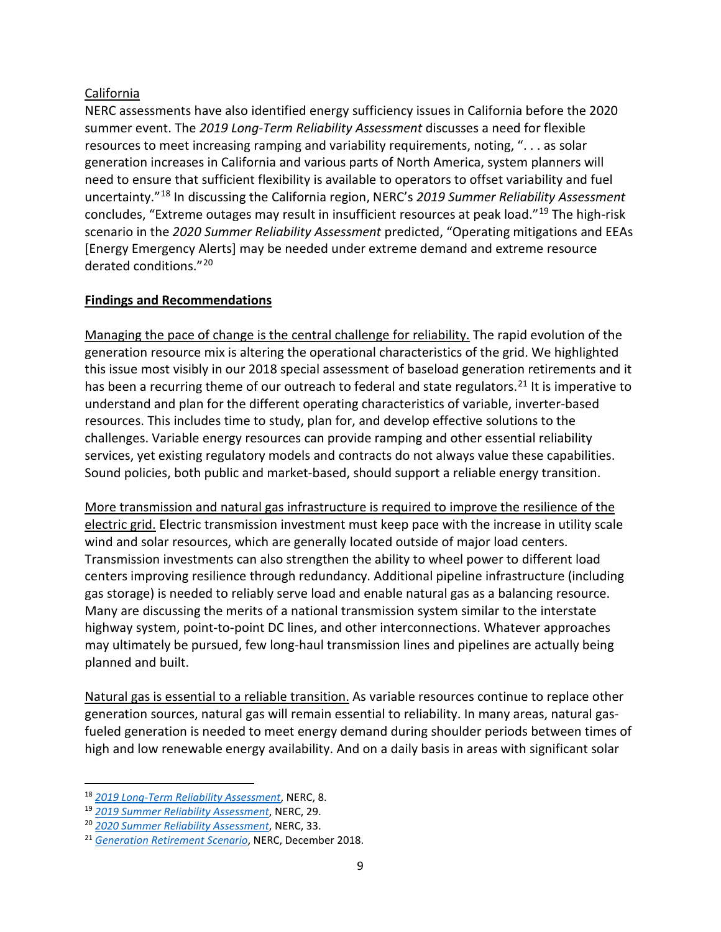### California

NERC assessments have also identified energy sufficiency issues in California before the 2020 summer event. The *2019 Long-Term Reliability Assessment* discusses a need for flexible resources to meet increasing ramping and variability requirements, noting, ". . . as solar generation increases in California and various parts of North America, system planners will need to ensure that sufficient flexibility is available to operators to offset variability and fuel uncertainty."[18](#page-8-0) In discussing the California region, NERC's *2019 Summer Reliability Assessment* concludes, "Extreme outages may result in insufficient resources at peak load."[19](#page-8-1) The high-risk scenario in the *2020 Summer Reliability Assessment* predicted, "Operating mitigations and EEAs [Energy Emergency Alerts] may be needed under extreme demand and extreme resource derated conditions."[20](#page-8-2)

## **Findings and Recommendations**

Managing the pace of change is the central challenge for reliability. The rapid evolution of the generation resource mix is altering the operational characteristics of the grid. We highlighted this issue most visibly in our 2018 special assessment of baseload generation retirements and it has been a recurring theme of our outreach to federal and state regulators.<sup>[21](#page-8-3)</sup> It is imperative to understand and plan for the different operating characteristics of variable, inverter-based resources. This includes time to study, plan for, and develop effective solutions to the challenges. Variable energy resources can provide ramping and other essential reliability services, yet existing regulatory models and contracts do not always value these capabilities. Sound policies, both public and market-based, should support a reliable energy transition.

More transmission and natural gas infrastructure is required to improve the resilience of the electric grid. Electric transmission investment must keep pace with the increase in utility scale wind and solar resources, which are generally located outside of major load centers. Transmission investments can also strengthen the ability to wheel power to different load centers improving resilience through redundancy. Additional pipeline infrastructure (including gas storage) is needed to reliably serve load and enable natural gas as a balancing resource. Many are discussing the merits of a national transmission system similar to the interstate highway system, point-to-point DC lines, and other interconnections. Whatever approaches may ultimately be pursued, few long-haul transmission lines and pipelines are actually being planned and built.

Natural gas is essential to a reliable transition. As variable resources continue to replace other generation sources, natural gas will remain essential to reliability. In many areas, natural gasfueled generation is needed to meet energy demand during shoulder periods between times of high and low renewable energy availability. And on a daily basis in areas with significant solar

<span id="page-8-0"></span> <sup>18</sup> *[2019 Long-Term Reliability Assessment](https://www.nerc.com/pa/RAPA/ra/Reliability%20Assessments%20DL/NERC_LTRA_2019.pdf)*, NERC, 8.

<span id="page-8-1"></span><sup>19</sup> *[2019 Summer Reliability Assessment](https://www.nerc.com/pa/RAPA/ra/Reliability%20Assessments%20DL/NERC_SRA_2019.pdf)*, NERC, 29.

<span id="page-8-2"></span><sup>20</sup> *[2020 Summer Reliability Assessment](https://www.nerc.com/pa/RAPA/ra/Reliability%20Assessments%20DL/NERC_SRA_2020.pdf)*, NERC, 33.

<span id="page-8-3"></span><sup>21</sup> *[Generation Retirement Scenario](https://www.nerc.com/pa/RAPA/ra/Reliability%20Assessments%20DL/NERC_Retirements_Report_2018_Final.pdf)*, NERC, December 2018.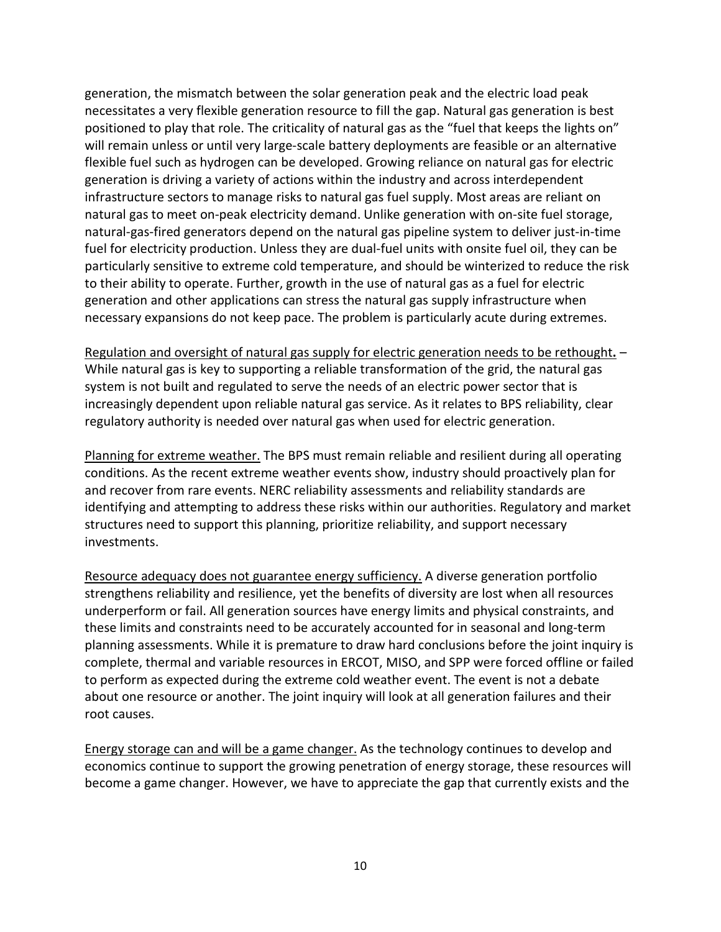generation, the mismatch between the solar generation peak and the electric load peak necessitates a very flexible generation resource to fill the gap. Natural gas generation is best positioned to play that role. The criticality of natural gas as the "fuel that keeps the lights on" will remain unless or until very large-scale battery deployments are feasible or an alternative flexible fuel such as hydrogen can be developed. Growing reliance on natural gas for electric generation is driving a variety of actions within the industry and across interdependent infrastructure sectors to manage risks to natural gas fuel supply. Most areas are reliant on natural gas to meet on-peak electricity demand. Unlike generation with on-site fuel storage, natural-gas-fired generators depend on the natural gas pipeline system to deliver just-in-time fuel for electricity production. Unless they are dual-fuel units with onsite fuel oil, they can be particularly sensitive to extreme cold temperature, and should be winterized to reduce the risk to their ability to operate. Further, growth in the use of natural gas as a fuel for electric generation and other applications can stress the natural gas supply infrastructure when necessary expansions do not keep pace. The problem is particularly acute during extremes.

Regulation and oversight of natural gas supply for electric generation needs to be rethought**.** – While natural gas is key to supporting a reliable transformation of the grid, the natural gas system is not built and regulated to serve the needs of an electric power sector that is increasingly dependent upon reliable natural gas service. As it relates to BPS reliability, clear regulatory authority is needed over natural gas when used for electric generation.

Planning for extreme weather. The BPS must remain reliable and resilient during all operating conditions. As the recent extreme weather events show, industry should proactively plan for and recover from rare events. NERC reliability assessments and reliability standards are identifying and attempting to address these risks within our authorities. Regulatory and market structures need to support this planning, prioritize reliability, and support necessary investments.

Resource adequacy does not guarantee energy sufficiency. A diverse generation portfolio strengthens reliability and resilience, yet the benefits of diversity are lost when all resources underperform or fail. All generation sources have energy limits and physical constraints, and these limits and constraints need to be accurately accounted for in seasonal and long-term planning assessments. While it is premature to draw hard conclusions before the joint inquiry is complete, thermal and variable resources in ERCOT, MISO, and SPP were forced offline or failed to perform as expected during the extreme cold weather event. The event is not a debate about one resource or another. The joint inquiry will look at all generation failures and their root causes.

Energy storage can and will be a game changer. As the technology continues to develop and economics continue to support the growing penetration of energy storage, these resources will become a game changer. However, we have to appreciate the gap that currently exists and the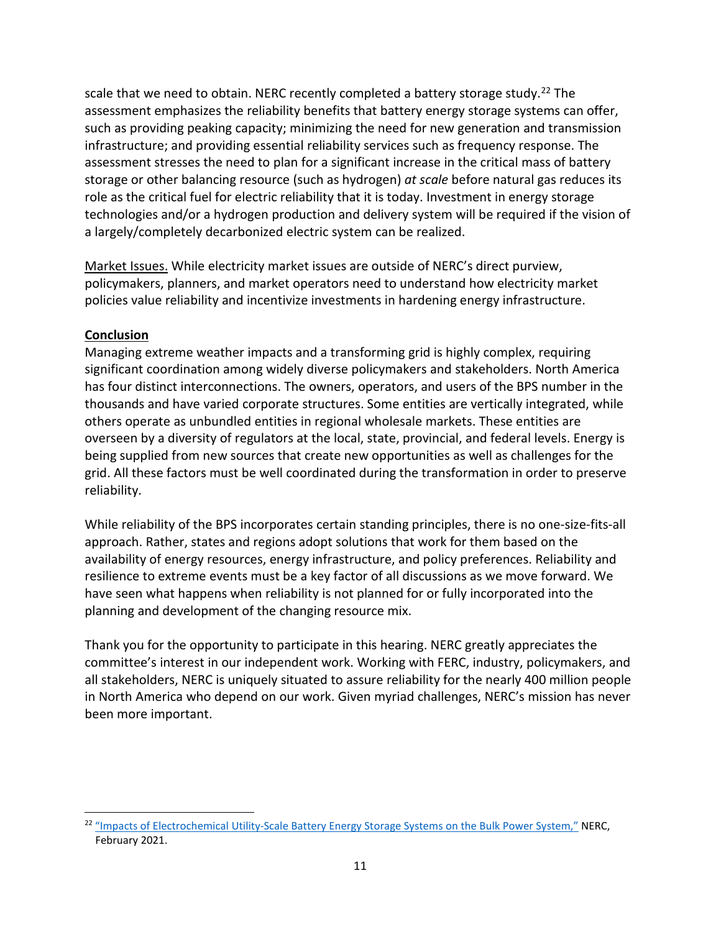scale that we need to obtain. NERC recently completed a battery storage study.<sup>[22](#page-10-0)</sup> The assessment emphasizes the reliability benefits that battery energy storage systems can offer, such as providing peaking capacity; minimizing the need for new generation and transmission infrastructure; and providing essential reliability services such as frequency response. The assessment stresses the need to plan for a significant increase in the critical mass of battery storage or other balancing resource (such as hydrogen) *at scale* before natural gas reduces its role as the critical fuel for electric reliability that it is today. Investment in energy storage technologies and/or a hydrogen production and delivery system will be required if the vision of a largely/completely decarbonized electric system can be realized.

Market Issues. While electricity market issues are outside of NERC's direct purview, policymakers, planners, and market operators need to understand how electricity market policies value reliability and incentivize investments in hardening energy infrastructure.

### **Conclusion**

Managing extreme weather impacts and a transforming grid is highly complex, requiring significant coordination among widely diverse policymakers and stakeholders. North America has four distinct interconnections. The owners, operators, and users of the BPS number in the thousands and have varied corporate structures. Some entities are vertically integrated, while others operate as unbundled entities in regional wholesale markets. These entities are overseen by a diversity of regulators at the local, state, provincial, and federal levels. Energy is being supplied from new sources that create new opportunities as well as challenges for the grid. All these factors must be well coordinated during the transformation in order to preserve reliability.

While reliability of the BPS incorporates certain standing principles, there is no one-size-fits-all approach. Rather, states and regions adopt solutions that work for them based on the availability of energy resources, energy infrastructure, and policy preferences. Reliability and resilience to extreme events must be a key factor of all discussions as we move forward. We have seen what happens when reliability is not planned for or fully incorporated into the planning and development of the changing resource mix.

Thank you for the opportunity to participate in this hearing. NERC greatly appreciates the committee's interest in our independent work. Working with FERC, industry, policymakers, and all stakeholders, NERC is uniquely situated to assure reliability for the nearly 400 million people in North America who depend on our work. Given myriad challenges, NERC's mission has never been more important.

<span id="page-10-0"></span><sup>&</sup>lt;sup>22</sup> ["Impacts of Electrochemical Utility-Scale Battery Energy Storage Systems on the Bulk Power System,"](https://www.nerc.com/pa/RAPA/ra/Reliability%20Assessments%20DL/Master_ESAT_Report.pdf) NERC, February 2021.